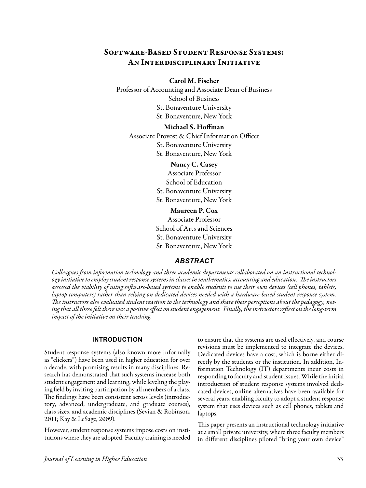# Software-Based Student Response Systems: An Interdisciplinary Initiative

## Carol M. Fischer

Professor of Accounting and Associate Dean of Business School of Business St. Bonaventure University St. Bonaventure, New York

# Michael S. Hoffman

Associate Provost & Chief Information Officer St. Bonaventure University St. Bonaventure, New York

> Nancy C. Casey Associate Professor School of Education St. Bonaventure University St. Bonaventure, New York

Maureen P. Cox Associate Professor School of Arts and Sciences St. Bonaventure University St. Bonaventure, New York

# *ABSTRACT*

*Colleagues from information technology and three academic departments collaborated on an instructional technology initiative to employ student response systems in classes in mathematics, accounting and education. The instructors assessed the viability of using software-based systems to enable students to use their own devices (cell phones, tablets, laptop computers) rather than relying on dedicated devices needed with a hardware-based student response system. The instructors also evaluated student reaction to the technology and share their perceptions about the pedagogy, noting that all three felt there was a positive effect on student engagement. Finally, the instructors reflect on the long-term impact of the initiative on their teaching.* 

# **INTRODUCTION**

Student response systems (also known more informally as "clickers") have been used in higher education for over a decade, with promising results in many disciplines. Research has demonstrated that such systems increase both student engagement and learning, while leveling the playing field by inviting participation by all members of a class. The findings have been consistent across levels (introductory, advanced, undergraduate, and graduate courses), class sizes, and academic disciplines (Sevian & Robinson, 2011; Kay & LeSage, 2009).

However, student response systems impose costs on institutions where they are adopted. Faculty training is needed

to ensure that the systems are used effectively, and course revisions must be implemented to integrate the devices. Dedicated devices have a cost, which is borne either directly by the students or the institution. In addition, Information Technology (IT) departments incur costs in responding to faculty and student issues. While the initial introduction of student response systems involved dedicated devices, online alternatives have been available for several years, enabling faculty to adopt a student response system that uses devices such as cell phones, tablets and laptops.

This paper presents an instructional technology initiative at a small private university, where three faculty members in different disciplines piloted "bring your own device"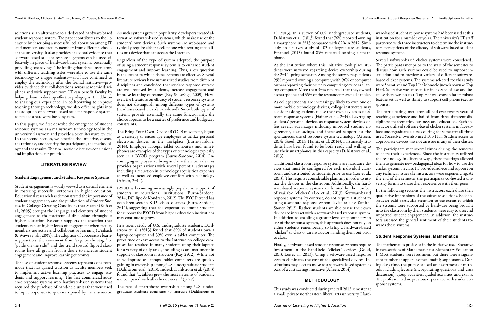solutions as an alternative to a dedicated hardware-based As such systems grew in popularity, developers created alstudent response system. The paper contributes to the literature by describing a successful collaboration among IT staff members and faculty members from different schools at the university. It also provides anecdotal evidence that software-based student response systems can be used effectively in place of hardware-based systems, potentially providing cost savings. The finding that three instructors with different teaching styles were able to use the same technology to engage students—and have continued to employ the technology after the formal initiative—provides evidence that collaborations across academic disciplines and with support from IT can benefit faculty by helping them to develop effective pedagogies. In addition to sharing our experiences in collaborating to improve teaching through technology, we also offer insights into the adoption of software-based student response systems to replace a hardware-based system.

In this paper, we first describe the emergence of student response systems as a mainstream technology tool in the university classroom and provide a brief literature review. In the second section, we describe the initiative, discuss the rationale, and identify the participants, the methodology and the results. The final section discusses conclusions and implications for practice.

### **LITERATURE REVIEW**

### Student Engagement and Student Response Systems

Student engagement is widely viewed as a critical element in fostering successful outcomes in higher education. Educational research has demonstrated the importance of student engagement, and the publication of Student Success in College: Creating Conditions that Matter (Kuh et al., 2005) brought the language and elements of student engagement to the forefront of discussions throughout higher education. Research supports the assertion that students report higher levels of engagement when faculty members use active and collaborative learning (Umbach & Wawrzynski 2005). The adoption of cooperative learning practices, the movement from "sage on the stage" to "guide on the side," and the trend toward flipped classrooms have all grown from a desire to increase student engagement and improve learning outcomes.

The use of student response systems represents one technique that has gained traction as faculty members seek to implement active learning practices to engage students and support learning. The first commercial audience response systems were hardware-based systems that required the purchase of hand-held units that were used to input responses to questions posed by the instructor. ternative software-based systems, which make use of the students' own devices. Such systems are web-based and typically require either a cell phone with texting capabilities or a device that can access the Internet.

Regardless of the type of system adopted, the purpose of using a student response system is to enhance student engagement and improve learning. Thus, a key question is the extent to which these systems are effective. Several literature reviews have summarized studies from different disciplines and concluded that student response systems are well received by students, increase engagement and improve learning outcomes (Kay & LeSage, 2009). However, the literature on efficacy of student response systems does not distinguish among different types of systems (hardware-based vs. software-based). Since both types of systems provide essentially the same functionality, the choice appears to be a matter of preference and budgetary constraints.

The Bring Your Own Device (BYOD) movement, began as a strategy to encourage employees to utilize personal electronic devices in the workplace (Burns-Sardone, 2014). Employee laptops, tablet computers and smartphones are examples of the types of technologies typically seen in a BYOD program (Burns-Sardone, 2014). Encouraging employees to bring and use their own devices provides organizations with several potential advantages including a reduction in technology acquisition expenses as well as increased employee comfort with technology (Afreen, 2014).

BYOD is becoming increasingly popular in support of students at educational institutions (Burns-Sardone, 2014; DiFilipo & Kondrach, 2012). The BYOD trend has even been seen in K-12 school districts (Burns-Sardone, 2014), suggesting that the expectation among students for support for BYOD from higher education institutions may continue to grow.

In a recent study of U.S. undergraduate students, Dahlstrom et. al. (2013) found that 89% of students own a laptop computer and 39% own a tablet computer. The prevalence of easy access to the Internet on college campuses has resulted in many students using their laptops for a variety of daily tasks, including as an instrument in support of classroom instruction (Kay, 2012). While not as widespread as laptops, tablet computers are quickly gaining in ownership among U.S. undergraduate students (Dahlstrom et al., 2013). Indeed, Dahlstrom et al. (2013) found that "… tablets grew the most in terms of academic use compared with all other devices…" (p. 27).

The rate of smartphone ownership among U.S. undergraduate students continues to increase (Dahlstrom et al., 2013). In a survey of U.S. undergraduate students, ware-based student response systems had been used at this institution for a number of years. The university's IT staff partnered with three instructors to determine the instructors' perceptions of the efficacy of software-based student response systems.

At the institution where this initiative took place students were surveyed regarding device ownership during the 2014 spring semester. Among the survey respondents 99% reported owning a computer, with 96% of computer owners reporting their primary computing device as a laptop computer. More than 90% reported that they owned a smartphone and 35% of the respondents owned a tablet. Several software-based clicker systems were considered.. The participants met prior to the start of the semester to discuss how such systems could be used to support instruction and to preview a variety of different softwarebased clicker systems. The systems selected for this study were Socrative and Top Hat Monocle (now known as Top Hat). Socrative was chosen for its as ease of use and because there was no cost. Top Hat was chosen for its robust feature set as well as ability to support cell phone text responses.

As college students are increasingly likely to own one or more mobile technology devices, college instructors may consider asking students to use their own devices as classroom response systems (Haintz et al., 2014). Leveraging students' personal devices as response system devices offers several advantages including improved student engagement, cost savings, and increased support for the spontaneous use of response system technology (Afreen, 2014; Good, 2013; Haintz et al, 2014). Fortunately students have been found to be both ready and willing to use their smartphones in this capacity (Dahlstrom et al., 2013). The participating instructors all had over twenty years of teaching experience and hailed from three different disciplines: mathematics, business and education. Each instructor utilized software-based clicker systems in face-toface undergraduate courses during the semester; all three used Socrative, two also used Top Hat. Student access to appropriate devices was not an issue in any of their classes. The participants met several times during the semester to share their experiences. Since the instructors utilized

This study was conducted during the fall 2012 semester at a small, private northeastern liberal arts university. Hard-

Traditional classroom response systems are hardware devices that must be configured for each individual classroom and distributed to students prior to use (Lee et al., 2013). This requires considerable planning in order to utilize the devices in the classroom. Additionally, the hardware-based response systems are limited by the number of available "clickers" (Lee et al., 2013). Software-based response systems, by contrast, do not require a student to bring a separate response system device to class (Smith-Stoner, 2012). Rather, students are able to use their own devices to interact with a software-based response system. In addition to enabling a greater level of spontaneity in use of the response system, this approach does not rely on either students remembering to bring a hardware-based "clicker" to class or an instructor handing them out prior to class. the technology in different ways, these meetings allowed them to generate new pedagogical ideas for how to use the clicker systems in class. IT provided advice and support on any technical issues the instructors were experiencing. At the end of the semester the participants co-hosted a university forum to share their experience with their peers. In the following sections the instructors each share their qualitative impressions of the software solutions. Each instructor paid particular attention to the extent to which the systems were supported by hardware being brought into the classroom by their students; were easy to use; and impacted student engagement. In addition, the instructors assessed the general sentiment of their students towards these systems. **Student Response Systems, Mathematics**

Finally, hardware-based student response systems require investment in the hand-held "clicker" devices (Good, 2013, Lee et al., 2013). Using a software-based response system eliminates the cost of the specialized devices. Institutions may elect to move to a software-based system as part of a cost savings initiative (Afreen, 2014). **METHODOLOGY** The mathematics professor in the initiative used Socrative in two sections of Mathematics for Elementary Education I. Most students were freshmen, but there were a significant number of upperclassmen, mainly sophomores. During class time, the professor used an assortment of methods including lecture (incorporating questions and class discussion), group activities, graded activities, and exams. The professor had no previous experience with student response systems.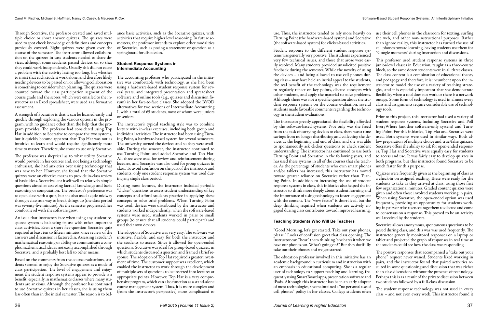used to spot check knowledge of definitions and concepts previously covered. Eight quizzes were given over the course of the semester. The instructor allowed collaboration on the quizzes in case students needed to share devices, although some students passed devices on so that they could work independently. Usually this did not cause a problem with the activity lasting too long, but whether to insist that each student work alone, and therefore likely needing devices to be passed on, or allowing collaboration is something to consider when planning. The quizzes were counted toward the class participation segment of the course grade and the scores, which were emailed to the instructor as an Excel spreadsheet, were used as a formative assessment.

A strength of Socrative is that it can be learned easily and quickly through exploring the various options in the program, with no guidance other than the help that the program provides. The professor had considered using Top Hat in addition to Socrative to compare the two systems, but it quickly became apparent that Top Hat was not as intuitive to learn and would require significantly more time to master. Therefore, she chose to use only Socrative.

Through Socrative, the professor created and saved mul-ance basic activities, such as the Socrative quizzes, with tiple choice or short answer quizzes. The quizzes were activities that require higher level reasoning. In future semesters, the professor intends to explore other modalities of Socrative, such as posing a statement or question as a springboard for discussion.

The professor was skeptical as to what utility Socrative would provide in her courses and, not being a technology enthusiast, she had anxieties over using technology that was new to her. However, she found that the Socrative quizzes were an effective means to provide in-class review of basic ideas. Socrative lent itself well to relatively simple questions aimed at assessing factual knowledge and basic reasoning or computation. The professor's preference was to open class with a quiz, but she also used a quiz midway through class as a way to break things up (the class period was seventy-five minutes). As the semester progressed, her comfort level with the software grew.

An issue that instructors face when using any student response system is balancing its use with other important class activities. Even a short five-question Socrative quiz required at least ten to fifteen minutes, once review of the answers and discussion is factored in. Assessing a student's mathematical reasoning or ability to communicate a complex mathematical idea is not easily accomplished through Socrative, and is probably best left to other means.

Based on the comments from the course evaluations, students seemed to enjoy the Socrative quizzes as a mode of class participation. The level of engagement and enjoyment the student response systems appear to provide is a benefit, especially in mathematics classes where many students are anxious. Although the professor has continued to use Socrative quizzes in her classes, she is using them less often than in the initial semester. The reason is to bal-

### **Student Response Systems in Intermediate Accounting**

The accounting professor who participated in the initiative was comfortable with technology, as she had been using a hardware-based student response system for several years, and integrated presentation and spreadsheet software and online tools (e.g., quizzes and discussion forum) in her face-to-face classes. She adopted the BYOD alternatives for two sections of Intermediate Accounting I, with a total of 65 students, most of whom were juniors or seniors.

The instructor's typical teaching style was to combine lecture with in-class exercises, including both group and individual activities. The instructor had been using Turning Point, a hardware-based system for several semesters. The university owned the devices and so they were available. During the semester, the instructor continued to use Turning Point, and added Socrative and Top Hat. All three were used for review and reinforcement during lectures, and Socrative was also used for group quizzes in class. To avoid confusion on the part of the instructor and students, only one student response system was used during any single class period.

During most lectures, the instructor included periodic "clicker" questions to assess student understanding of key concepts and afford students practice in applying these concepts to solve brief problems. When Turning Point was used, devices were distributed by the instructor and students worked independently; when the software-based systems were used, students worked in pairs or small groups (to ensure that all students could participate) and used their own devices.

The adoption of Socrative was very easy. The software was intuitive, flexible, and easy for both the instructor and the students to access. Since it allowed for open-ended questions, Socrative was ideal for group-based quizzes, in which students discussed a question and framed a brief response. The adoption of Top Hat required a greater investment of time. The customer support was excellent, which enabled the instructor to work through the development of multiple sets of questions to be inserted into lectures at appropriate points. However, Top Hat is a very comprehensive program, which can also function as a stand-alone course management system. Thus, it is more complex and (from the instructor's perspective) more complicated to

use. Thus, the instructor tended to rely more heavily on use their cell phones in the classroom for texting, surfing Turning Point (the hardware-based system) and Socrative (the software-based system) for clicker-based activities. the web, and other non-instructional purposes. Rather than ignore reality, this instructor has turned the use of cell phones toward learning, having students use them for

Student response to the different student response systems was generally very positive. The students experienced very few technical issues, and those that arose were easily resolved. Many students provided unsolicited positive feedback during the semester. While the novelty of using the devices – and being allowed to use cell phones during class – may have held an initial appeal to the students, the real benefit of the technology was the requirement to regularly reflect on key points, discuss concepts with other students, and apply the material to solve problems. Although there was not a specific question about the student response systems on the course evaluation, several students made favorable comments regarding the technology in the student evaluations. "Google moments" during instruction and discussions. This professor used student response systems in three junior-level classes in Education, taught as a three-course block, so the same dozen students were in all three classes. The class content is a combination of educational theory and pedagogy and therefore, it is incumbent upon the instructor to model the use of a variety of teaching strategies, and it is especially important that she demonstrate flexibility when a tool does not work or there is a network outage. Some form of technology is used in almost every class and assignments require considerable use of technology tools.

# **Teaching Students Who Will Be Teachers**

The instructor greatly appreciated the flexibility afforded by the software-based systems. Not only was she freed from the task of carrying devices to class, there was a time savings from no longer distributing and collecting the devices at the beginning and end of class, and she was able to spontaneously ask clicker questions to check student understanding. The instructor has continued to use both Turning Point and Socrative in the following years, and has used these systems in all of the courses that she teaches. As the percentage of students who own smart phones and/or tablets has increased, this instructor has moved toward greater reliance on Socrative rather than Turning Point. In addition to increasing the use of student response systems in class, this initiative also helped the instructor to think more deeply about student learning and the importance of using technology to foster engagement with the content. The "wow factor" is short-lived, but the deep thinking required when students are actively engaged during class contributes toward improved learning. Prior to this project, this instructor had used a variety of student response systems, including Socrative and Poll EveryWhere (another software-only system) and Turning Point. For this initiative, Top Hat and Socrative were used. Both systems were used in similar ways. Both allow preparation of multiple choice and true/false quizzes. Socrative offers the ability to ask for open-ended responses. Top Hat and Socrative were equally easy for students to access and use. It was fairly easy to develop quizzes in both programs, but this instructor found Socrative to be much faster for this purpose. Quizzes were frequently given at the beginning of class as a check-in on assigned reading. These were ready for the students to take as they arrived at class, using those first few organizational minutes. Graded content quizzes were given and often those involved students working in pairs. When using Socrative, the open-ended option was used frequently, providing an opportunity for students working in pairs or trios to encourage them to discuss and come to consensus on a response. This proved to be an activity well-received by the students.

"Good Morning, let's get started. Take out your phones, please." Looks of confusion greet that class opening. The instructor can "hear" them thinking "she hates it when we have our phones out. What's going on?" But they dutifully take out their phones and we get started. Socrative allows anonymous, spontaneous questions to be posed during class, and this was was used frequently. The instructor generally monitored responses on a laptop or tablet and projected the graph of responses in real time so the students could see how the class was responding.

The education professor involved in this initiative has an academic background in curriculum and instruction with an emphasis in educational computing. She is a regular user of technology to support teaching and learning, frequently using SmartBoard apps, presentation software and iPads. Although this instructor has been an early adopter of most technologies, she maintained a "no personal use of cell phones" policy in her classes. College students often The positive responses that accompanied a "take out your phone" request never waned. Students liked working in pairs, and the instructor found that paired activities resulted in some questioning and discussion that was richer than class discussions without the presence of technology. Perhaps this is as a result of the private discussion between two students followed by a full-class discussion. The student response technology was not used in every class – and not even every week. This instructor found it